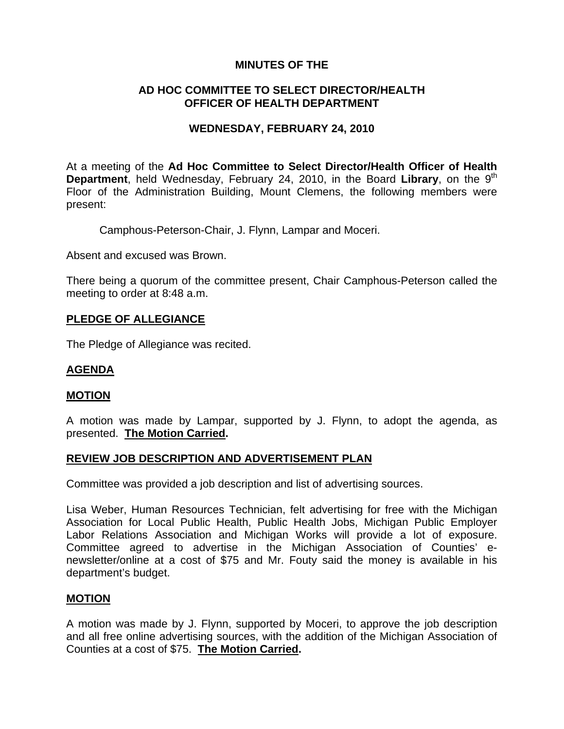# **MINUTES OF THE**

# **AD HOC COMMITTEE TO SELECT DIRECTOR/HEALTH OFFICER OF HEALTH DEPARTMENT**

### **WEDNESDAY, FEBRUARY 24, 2010**

At a meeting of the **Ad Hoc Committee to Select Director/Health Officer of Health Department**, held Wednesday, February 24, 2010, in the Board Library, on the 9<sup>th</sup> Floor of the Administration Building, Mount Clemens, the following members were present:

Camphous-Peterson-Chair, J. Flynn, Lampar and Moceri.

Absent and excused was Brown.

There being a quorum of the committee present, Chair Camphous-Peterson called the meeting to order at 8:48 a.m.

#### **PLEDGE OF ALLEGIANCE**

The Pledge of Allegiance was recited.

### **AGENDA**

#### **MOTION**

A motion was made by Lampar, supported by J. Flynn, to adopt the agenda, as presented. **The Motion Carried.** 

#### **REVIEW JOB DESCRIPTION AND ADVERTISEMENT PLAN**

Committee was provided a job description and list of advertising sources.

Lisa Weber, Human Resources Technician, felt advertising for free with the Michigan Association for Local Public Health, Public Health Jobs, Michigan Public Employer Labor Relations Association and Michigan Works will provide a lot of exposure. Committee agreed to advertise in the Michigan Association of Counties' enewsletter/online at a cost of \$75 and Mr. Fouty said the money is available in his department's budget.

#### **MOTION**

A motion was made by J. Flynn, supported by Moceri, to approve the job description and all free online advertising sources, with the addition of the Michigan Association of Counties at a cost of \$75. **The Motion Carried.**